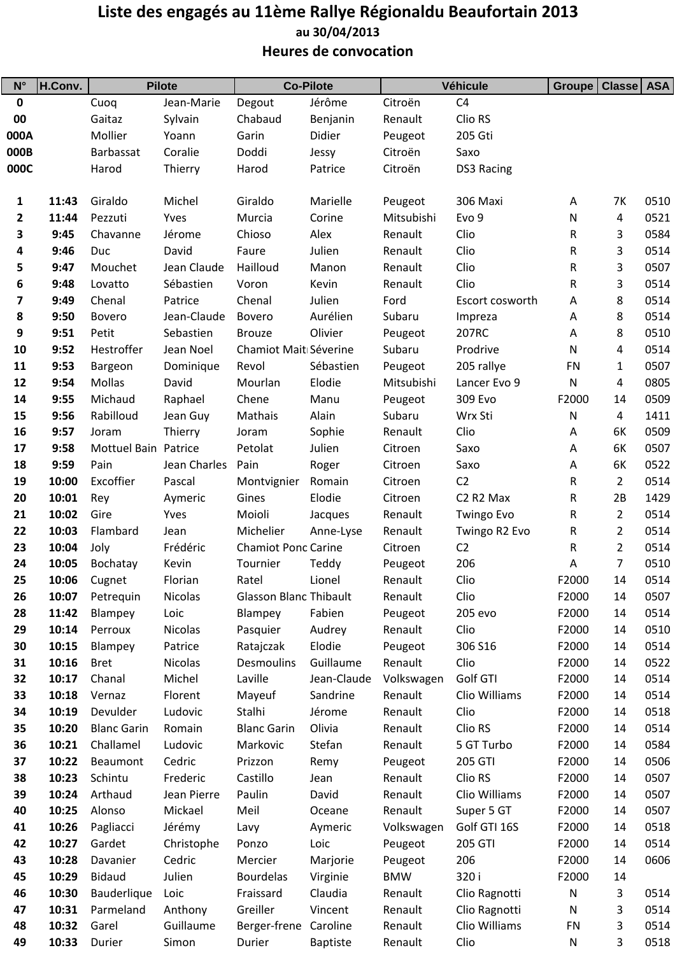## Liste des engagés au 11ème Rallye Régionaldu Beaufortain 2013 Heures de convocation au 30/04/2013

| $N^{\circ}$  | H.Conv.        | <b>Pilote</b>        |                    | <b>Co-Pilote</b>              |                 | Véhicule           |                                   | Groupe         | Classe   ASA   |              |
|--------------|----------------|----------------------|--------------------|-------------------------------|-----------------|--------------------|-----------------------------------|----------------|----------------|--------------|
| $\pmb{0}$    |                | Cuoq                 | Jean-Marie         | Degout                        | Jérôme          | Citroën            | C <sub>4</sub>                    |                |                |              |
| 00           |                | Gaitaz               | Sylvain            | Chabaud                       | Benjanin        | Renault            | Clio RS                           |                |                |              |
| 000A         |                | Mollier              | Yoann              | Garin                         | Didier          | Peugeot            | 205 Gti                           |                |                |              |
| 000B         |                | Barbassat            | Coralie            | Doddi                         | Jessy           | Citroën            | Saxo                              |                |                |              |
| 000C         |                | Harod                | Thierry            | Harod                         | Patrice         | Citroën            | DS3 Racing                        |                |                |              |
| 1            | 11:43          | Giraldo              | Michel             | Giraldo                       | Marielle        | Peugeot            | 306 Maxi                          | A              | 7K             | 0510         |
| $\mathbf{2}$ | 11:44          | Pezzuti              | Yves               | Murcia                        | Corine          | Mitsubishi         | Evo 9                             | ${\sf N}$      | 4              | 0521         |
| 3            | 9:45           | Chavanne             | Jérome             | Chioso                        | Alex            | Renault            | Clio                              | R              | 3              | 0584         |
| 4            | 9:46           | Duc                  | David              | Faure                         | Julien          | Renault            | Clio                              | R              | 3              | 0514         |
| 5            | 9:47           | Mouchet              | Jean Claude        | Hailloud                      | Manon           | Renault            | Clio                              | R              | 3              | 0507         |
| 6            | 9:48           | Lovatto              | Sébastien          | Voron                         | Kevin           | Renault            | Clio                              | R              | 3              | 0514         |
| 7            | 9:49           | Chenal               | Patrice            | Chenal                        | Julien          | Ford               | Escort cosworth                   | А              | 8              | 0514         |
| 8            | 9:50           | <b>Bovero</b>        | Jean-Claude        | <b>Bovero</b>                 | Aurélien        | Subaru             | Impreza                           | Α              | 8              | 0514         |
| 9            | 9:51           | Petit                | Sebastien          | <b>Brouze</b>                 | Olivier         | Peugeot            | 207RC                             | Α              | 8              | 0510         |
| 10           | 9:52           | Hestroffer           | Jean Noel          | Chamiot Mait Séverine         |                 | Subaru             | Prodrive                          | ${\sf N}$      | 4              | 0514         |
| 11           | 9:53           | Bargeon              | Dominique          | Revol                         | Sébastien       | Peugeot            | 205 rallye                        | <b>FN</b>      | 1              | 0507         |
| 12           | 9:54           | Mollas               | David              | Mourlan                       | Elodie          | Mitsubishi         | Lancer Evo 9                      | N              | 4              | 0805         |
| 14           | 9:55           | Michaud              | Raphael            | Chene                         | Manu            | Peugeot            | 309 Evo                           | F2000          | 14             | 0509         |
| 15           | 9:56           | Rabilloud            | Jean Guy           | Mathais                       | Alain           | Subaru             | Wrx Sti                           | N              | 4              | 1411         |
| 16           | 9:57           | Joram                | Thierry            | Joram                         | Sophie          | Renault            | Clio                              | А              | 6K             | 0509         |
| 17           | 9:58           | Mottuel Bain Patrice |                    | Petolat                       | Julien          | Citroen            | Saxo                              | А              | 6K             | 0507         |
| 18           | 9:59           | Pain                 | Jean Charles       | Pain                          | Roger           | Citroen            | Saxo                              | А              | 6K             | 0522         |
| 19           | 10:00          | Excoffier            | Pascal             | Montvignier                   | Romain          | Citroen            | C <sub>2</sub>                    | R              | 2              | 0514         |
| 20           | 10:01          | Rey                  | Aymeric            | Gines                         | Elodie          | Citroen            | C <sub>2</sub> R <sub>2</sub> Max | R              | 2B             | 1429         |
| 21           | 10:02          | Gire                 | Yves               | Moioli                        | Jacques         | Renault            | <b>Twingo Evo</b>                 | R              | 2              | 0514         |
| 22           | 10:03          | Flambard             | Jean               | Michelier                     | Anne-Lyse       | Renault            | Twingo R2 Evo                     | R              | $\overline{2}$ | 0514         |
| 23           | 10:04          | Joly                 | Frédéric           | <b>Chamiot Ponc Carine</b>    |                 | Citroen            | C <sub>2</sub>                    | R              | $\overline{2}$ | 0514         |
| 24           | 10:05          | Bochatay             | Kevin              | Tournier                      | Teddy           | Peugeot            | 206                               | А              | 7              | 0510         |
| 25           |                | 10:06 Cugnet         | Florian            | Ratel                         | Lionel          | Renault            | Clio                              | F2000          | 14             | 0514         |
| 26           | 10:07          | Petrequin            | <b>Nicolas</b>     | <b>Glasson Blanc Thibault</b> |                 | Renault            | Clio                              | F2000          | 14             | 0507         |
| 28           | 11:42          | Blampey              | Loic               | Blampey                       | Fabien          | Peugeot            | 205 evo                           | F2000          | 14             | 0514         |
| 29           | 10:14          | Perroux              | Nicolas            | Pasquier                      | Audrey          | Renault            | Clio                              | F2000          | 14             | 0510         |
| 30           | 10:15          | Blampey              | Patrice            | Ratajczak                     | Elodie          | Peugeot            | 306 S16                           | F2000          | 14             | 0514         |
| 31           | 10:16          | <b>Bret</b>          | Nicolas            | Desmoulins                    | Guillaume       | Renault            | Clio                              | F2000          | 14             | 0522         |
| 32           | 10:17          | Chanal               | Michel             | Laville                       | Jean-Claude     | Volkswagen         | Golf GTI                          | F2000          | 14             | 0514         |
| 33           | 10:18          | Vernaz               | Florent            | Mayeuf                        | Sandrine        | Renault            | Clio Williams                     | F2000          | 14             | 0514         |
| 34           | 10:19          | Devulder             | Ludovic            | Stalhi                        | Jérome          | Renault            | Clio                              | F2000          | 14             | 0518         |
| 35           | 10:20          | <b>Blanc Garin</b>   | Romain             | <b>Blanc Garin</b>            | Olivia          | Renault            | Clio RS                           | F2000          | 14             | 0514         |
| 36           | 10:21          | Challamel            | Ludovic            | Markovic                      | Stefan          | Renault            | 5 GT Turbo                        | F2000          | 14             | 0584         |
| 37<br>38     | 10:22<br>10:23 | Beaumont<br>Schintu  | Cedric<br>Frederic | Prizzon                       | Remy            | Peugeot<br>Renault | 205 GTI<br>Clio RS                | F2000<br>F2000 | 14<br>14       | 0506<br>0507 |
| 39           | 10:24          | Arthaud              | Jean Pierre        | Castillo<br>Paulin            | Jean<br>David   | Renault            | Clio Williams                     | F2000          | 14             | 0507         |
| 40           | 10:25          | Alonso               | Mickael            | Meil                          | Oceane          | Renault            | Super 5 GT                        | F2000          | 14             | 0507         |
| 41           | 10:26          | Pagliacci            | Jérémy             | Lavy                          | Aymeric         | Volkswagen         | Golf GTI 16S                      | F2000          | 14             | 0518         |
| 42           | 10:27          | Gardet               | Christophe         | Ponzo                         | Loic            | Peugeot            | 205 GTI                           | F2000          | 14             | 0514         |
| 43           | 10:28          | Davanier             | Cedric             | Mercier                       | Marjorie        | Peugeot            | 206                               | F2000          | 14             | 0606         |
| 45           | 10:29          | <b>Bidaud</b>        | Julien             | <b>Bourdelas</b>              | Virginie        | <b>BMW</b>         | 320 i                             | F2000          | 14             |              |
| 46           | 10:30          | Bauderlique          | Loic               | Fraissard                     | Claudia         | Renault            | Clio Ragnotti                     | ${\sf N}$      | 3              | 0514         |
| 47           | 10:31          | Parmeland            | Anthony            | Greiller                      | Vincent         | Renault            | Clio Ragnotti                     | ${\sf N}$      | 3              | 0514         |
| 48           | 10:32          | Garel                | Guillaume          | Berger-frene Caroline         |                 | Renault            | Clio Williams                     | <b>FN</b>      | 3              | 0514         |
| 49           | 10:33          | Durier               | Simon              | Durier                        | <b>Baptiste</b> | Renault            | Clio                              | N              | 3              | 0518         |
|              |                |                      |                    |                               |                 |                    |                                   |                |                |              |